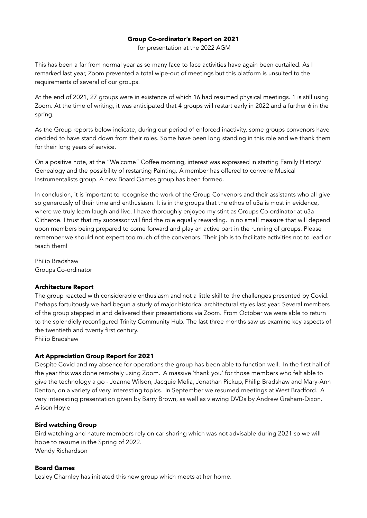### **Group Co-ordinator's Report on 2021**

for presentation at the 2022 AGM

This has been a far from normal year as so many face to face activities have again been curtailed. As I remarked last year, Zoom prevented a total wipe-out of meetings but this platform is unsuited to the requirements of several of our groups.

At the end of 2021, 27 groups were in existence of which 16 had resumed physical meetings. 1 is still using Zoom. At the time of writing, it was anticipated that 4 groups will restart early in 2022 and a further 6 in the spring.

As the Group reports below indicate, during our period of enforced inactivity, some groups convenors have decided to have stand down from their roles. Some have been long standing in this role and we thank them for their long years of service.

On a positive note, at the "Welcome" Coffee morning, interest was expressed in starting Family History/ Genealogy and the possibility of restarting Painting. A member has offered to convene Musical Instrumentalists group. A new Board Games group has been formed.

In conclusion, it is important to recognise the work of the Group Convenors and their assistants who all give so generously of their time and enthusiasm. It is in the groups that the ethos of u3a is most in evidence, where we truly learn laugh and live. I have thoroughly enjoyed my stint as Groups Co-ordinator at u3a Clitheroe. I trust that my successor will find the role equally rewarding. In no small measure that will depend upon members being prepared to come forward and play an active part in the running of groups. Please remember we should not expect too much of the convenors. Their job is to facilitate activities not to lead or teach them!

Philip Bradshaw Groups Co-ordinator

## **Architecture Report**

The group reacted with considerable enthusiasm and not a little skill to the challenges presented by Covid. Perhaps fortuitously we had begun a study of major historical architectural styles last year. Several members of the group stepped in and delivered their presentations via Zoom. From October we were able to return to the splendidly reconfigured Trinity Community Hub. The last three months saw us examine key aspects of the twentieth and twenty first century.

Philip Bradshaw

### **Art Appreciation Group Report for 2021**

Despite Covid and my absence for operations the group has been able to function well. In the first half of the year this was done remotely using Zoom. A massive 'thank you' for those members who felt able to give the technology a go - Joanne Wilson, Jacquie Melia, Jonathan Pickup, Philip Bradshaw and Mary-Ann Renton, on a variety of very interesting topics. In September we resumed meetings at West Bradford. A very interesting presentation given by Barry Brown, as well as viewing DVDs by Andrew Graham-Dixon. Alison Hoyle

### **Bird watching Group**

Bird watching and nature members rely on car sharing which was not advisable during 2021 so we will hope to resume in the Spring of 2022. Wendy Richardson

### **Board Games**

Lesley Charnley has initiated this new group which meets at her home.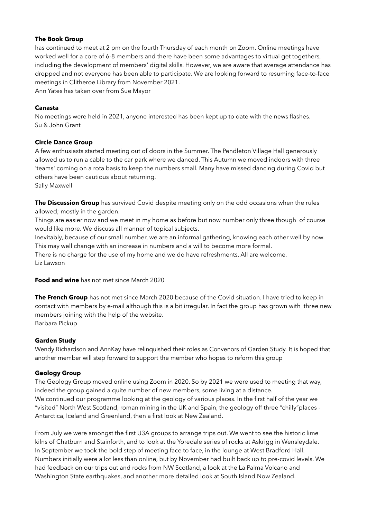## **The Book Group**

has continued to meet at 2 pm on the fourth Thursday of each month on Zoom. Online meetings have worked well for a core of 6-8 members and there have been some advantages to virtual get togethers, including the development of members' digital skills. However, we are aware that average attendance has dropped and not everyone has been able to participate. We are looking forward to resuming face-to-face meetings in Clitheroe Library from November 2021.

Ann Yates has taken over from Sue Mayor

## **Canasta**

No meetings were held in 2021, anyone interested has been kept up to date with the news flashes. Su & John Grant

### **Circle Dance Group**

A few enthusiasts started meeting out of doors in the Summer. The Pendleton Village Hall generously allowed us to run a cable to the car park where we danced. This Autumn we moved indoors with three 'teams' coming on a rota basis to keep the numbers small. Many have missed dancing during Covid but others have been cautious about returning. Sally Maxwell

**The Discussion Group** has survived Covid despite meeting only on the odd occasions when the rules allowed; mostly in the garden.

Things are easier now and we meet in my home as before but now number only three though of course would like more. We discuss all manner of topical subjects.

Inevitably, because of our small number, we are an informal gathering, knowing each other well by now. This may well change with an increase in numbers and a will to become more formal.

There is no charge for the use of my home and we do have refreshments. All are welcome. Liz Lawson

**Food and wine** has not met since March 2020

**The French Group** has not met since March 2020 because of the Covid situation. I have tried to keep in contact with members by e-mail although this is a bit irregular. In fact the group has grown with three new members joining with the help of the website. Barbara Pickup

### **Garden Study**

Wendy Richardson and AnnKay have relinquished their roles as Convenors of Garden Study. It is hoped that another member will step forward to support the member who hopes to reform this group

## **Geology Group**

The Geology Group moved online using Zoom in 2020. So by 2021 we were used to meeting that way, indeed the group gained a quite number of new members, some living at a distance. We continued our programme looking at the geology of various places. In the first half of the year we "visited" North West Scotland, roman mining in the UK and Spain, the geology off three "chilly"places - Antarctica, Iceland and Greenland, then a first look at New Zealand.

From July we were amongst the first U3A groups to arrange trips out. We went to see the historic lime kilns of Chatburn and Stainforth, and to look at the Yoredale series of rocks at Askrigg in Wensleydale. In September we took the bold step of meeting face to face, in the lounge at West Bradford Hall. Numbers initially were a lot less than online, but by November had built back up to pre-covid levels. We had feedback on our trips out and rocks from NW Scotland, a look at the La Palma Volcano and Washington State earthquakes, and another more detailed look at South Island Now Zealand.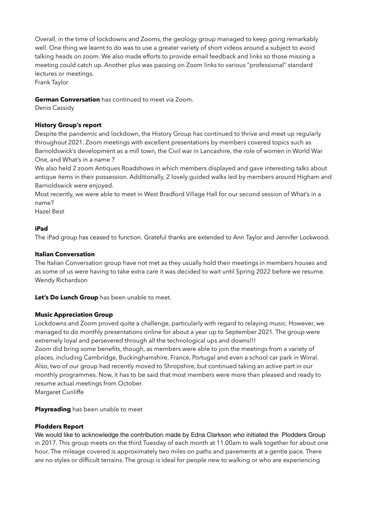Overall, in the time of lockdowns and Zooms, the geology group managed to keep going remarkably well. One thing we learnt to do was to use a greater variety of short videos around a subject to avoid talking heads on zoom. We also made efforts to provide email feedback and links so those missing a meeting could catch up. Another plus was passing on Zoom links to various "professional" standard lectures or meetings.

Frank Taylor

## **German Conversation** has continued to meet via Zoom.

Denis Cassidy

# **History Group's report**

Despite the pandemic and lockdown, the History Group has continued to thrive and meet up regularly throughout 2021. Zoom meetings with excellent presentations by members covered topics such as Barnoldswick's development as a mill town, the Civil war in Lancashire, the role of women in World War One, and What's in a name ?

We also held 2 zoom Antiques Roadshows in which members displayed and gave interesting talks about antique items in their possession. Additionally, 2 lovely guided walks led by members around Higham and Barnoldswick were enjoyed.

Most recently, we were able to meet in West Bradford Village Hall for our second session of What's in a name?

Hazel Best

## **iPad**

The iPad group has ceased to function. Grateful thanks are extended to Ann Taylor and Jennifer Lockwood.

# **Italian Conversation**

The Italian Conversation group have not met as they usually hold their meetings in members houses and as some of us were having to take extra care it was decided to wait until Spring 2022 before we resume. Wendy Richardson

**Let's Do Lunch Group** has been unable to meet.

## **Music Appreciation Group**

Lockdowns and Zoom proved quite a challenge, particularly with regard to relaying music. However, we managed to do monthly presentations online for about a year up to September 2021. The group were extremely loyal and persevered through all the technological ups and downs!!! Zoom did bring some benefits, though, as members were able to join the meetings from a variety of places, including Cambridge, Buckinghamshire, France, Portugal and even a school car park in Wirral. Also, two of our group had recently moved to Shropshire, but continued taking an active part in our monthly programmes. Now, it has to be said that most members were more than pleased and ready to resume actual meetings from October.

Margaret Cunliffe

**Playreading** has been unable to meet

## **Plodders Report**

We would like to acknowledge the contribution made by Edna Clarkson who initiated the Plodders Group in 2017. This group meets on the third Tuesday of each month at 11.00am to walk together for about one hour. The mileage covered is approximately two miles on paths and pavements at a gentle pace. There are no styles or difficult terrains. The group is ideal for people new to walking or who are experiencing